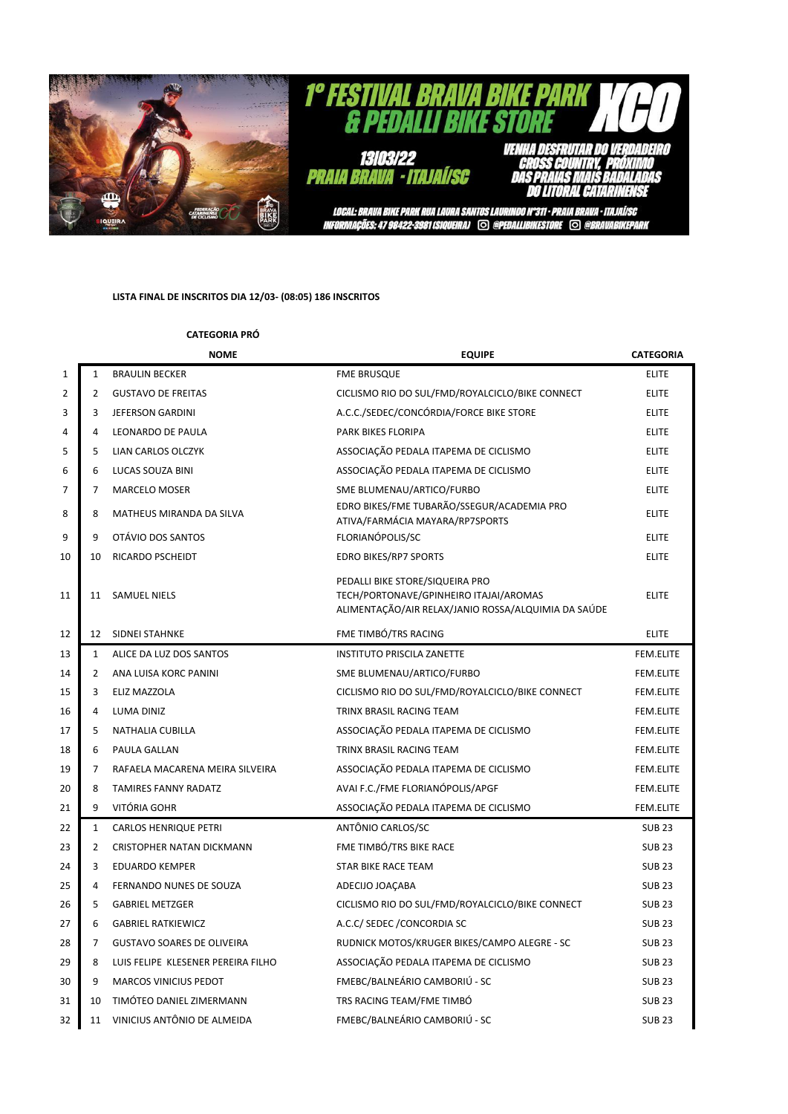

## **LISTA FINAL DE INSCRITOS DIA 12/03- (08:05) 186 INSCRITOS**

## **CATEGORIA PRÓ**

|    |                | <b>NOME</b>                        | <b>EQUIPE</b>                                                                                                                    | <b>CATEGORIA</b> |
|----|----------------|------------------------------------|----------------------------------------------------------------------------------------------------------------------------------|------------------|
| 1  | $\mathbf{1}$   | <b>BRAULIN BECKER</b>              | <b>FME BRUSQUE</b>                                                                                                               | <b>ELITE</b>     |
| 2  | 2              | <b>GUSTAVO DE FREITAS</b>          | CICLISMO RIO DO SUL/FMD/ROYALCICLO/BIKE CONNECT                                                                                  | <b>ELITE</b>     |
| 3  | 3              | JEFERSON GARDINI                   | A.C.C./SEDEC/CONCÓRDIA/FORCE BIKE STORE                                                                                          | <b>ELITE</b>     |
| 4  | 4              | LEONARDO DE PAULA                  | PARK BIKES FLORIPA                                                                                                               | <b>ELITE</b>     |
| 5  | 5              | LIAN CARLOS OLCZYK                 | ASSOCIAÇÃO PEDALA ITAPEMA DE CICLISMO                                                                                            | <b>ELITE</b>     |
| 6  | 6              | LUCAS SOUZA BINI                   | ASSOCIAÇÃO PEDALA ITAPEMA DE CICLISMO                                                                                            | <b>ELITE</b>     |
| 7  | $\overline{7}$ | MARCELO MOSER                      | SME BLUMENAU/ARTICO/FURBO                                                                                                        | <b>ELITE</b>     |
| 8  | 8              | MATHEUS MIRANDA DA SILVA           | EDRO BIKES/FME TUBARÃO/SSEGUR/ACADEMIA PRO<br>ATIVA/FARMÁCIA MAYARA/RP7SPORTS                                                    | <b>ELITE</b>     |
| 9  | 9              | OTÁVIO DOS SANTOS                  | FLORIANÓPOLIS/SC                                                                                                                 | <b>ELITE</b>     |
| 10 | 10             | RICARDO PSCHEIDT                   | <b>EDRO BIKES/RP7 SPORTS</b>                                                                                                     | <b>ELITE</b>     |
| 11 | 11             | <b>SAMUEL NIELS</b>                | PEDALLI BIKE STORE/SIQUEIRA PRO<br>TECH/PORTONAVE/GPINHEIRO ITAJAI/AROMAS<br>ALIMENTAÇÃO/AIR RELAX/JANIO ROSSA/ALQUIMIA DA SAÚDE | <b>ELITE</b>     |
| 12 | 12             | SIDNEI STAHNKE                     | FME TIMBÓ/TRS RACING                                                                                                             | <b>ELITE</b>     |
| 13 | $\mathbf{1}$   | ALICE DA LUZ DOS SANTOS            | <b>INSTITUTO PRISCILA ZANETTE</b>                                                                                                | FEM.ELITE        |
| 14 | $\overline{2}$ | ANA LUISA KORC PANINI              | SME BLUMENAU/ARTICO/FURBO                                                                                                        | FEM.ELITE        |
| 15 | 3              | ELIZ MAZZOLA                       | CICLISMO RIO DO SUL/FMD/ROYALCICLO/BIKE CONNECT                                                                                  | FEM.ELITE        |
| 16 | 4              | LUMA DINIZ                         | TRINX BRASIL RACING TEAM                                                                                                         | FEM.ELITE        |
| 17 | 5              | NATHALIA CUBILLA                   | ASSOCIAÇÃO PEDALA ITAPEMA DE CICLISMO                                                                                            | FEM.ELITE        |
| 18 | 6              | PAULA GALLAN                       | TRINX BRASIL RACING TEAM                                                                                                         | FEM.ELITE        |
| 19 | 7              | RAFAELA MACARENA MEIRA SILVEIRA    | ASSOCIAÇÃO PEDALA ITAPEMA DE CICLISMO                                                                                            | FEM.ELITE        |
| 20 | 8              | <b>TAMIRES FANNY RADATZ</b>        | AVAI F.C./FME FLORIANÓPOLIS/APGF                                                                                                 | <b>FEM.ELITE</b> |
| 21 | 9              | VITÓRIA GOHR                       | ASSOCIAÇÃO PEDALA ITAPEMA DE CICLISMO                                                                                            | FEM.ELITE        |
| 22 | $\mathbf{1}$   | <b>CARLOS HENRIQUE PETRI</b>       | ANTÔNIO CARLOS/SC                                                                                                                | <b>SUB 23</b>    |
| 23 | $\overline{2}$ | CRISTOPHER NATAN DICKMANN          | FME TIMBÓ/TRS BIKE RACE                                                                                                          | <b>SUB 23</b>    |
| 24 | 3              | <b>EDUARDO KEMPER</b>              | STAR BIKE RACE TEAM                                                                                                              | <b>SUB 23</b>    |
| 25 | 4              | FERNANDO NUNES DE SOUZA            | ADECIJO JOAÇABA                                                                                                                  | <b>SUB 23</b>    |
| 26 | 5              | <b>GABRIEL METZGER</b>             | CICLISMO RIO DO SUL/FMD/ROYALCICLO/BIKE CONNECT                                                                                  | <b>SUB 23</b>    |
| 27 | 6              | <b>GABRIEL RATKIEWICZ</b>          | A.C.C/ SEDEC / CONCORDIA SC                                                                                                      | <b>SUB 23</b>    |
| 28 | $\overline{7}$ | <b>GUSTAVO SOARES DE OLIVEIRA</b>  | RUDNICK MOTOS/KRUGER BIKES/CAMPO ALEGRE - SC                                                                                     | <b>SUB 23</b>    |
| 29 | 8              | LUIS FELIPE KLESENER PEREIRA FILHO | ASSOCIAÇÃO PEDALA ITAPEMA DE CICLISMO                                                                                            | <b>SUB 23</b>    |
| 30 | 9              | <b>MARCOS VINICIUS PEDOT</b>       | FMEBC/BALNEÁRIO CAMBORIÚ - SC                                                                                                    | <b>SUB 23</b>    |
| 31 | 10             | TIMÓTEO DANIEL ZIMERMANN           | TRS RACING TEAM/FME TIMBÓ                                                                                                        | <b>SUB 23</b>    |
| 32 | 11             | VINICIUS ANTÔNIO DE ALMEIDA        | FMEBC/BALNEÁRIO CAMBORIÚ - SC                                                                                                    | <b>SUB 23</b>    |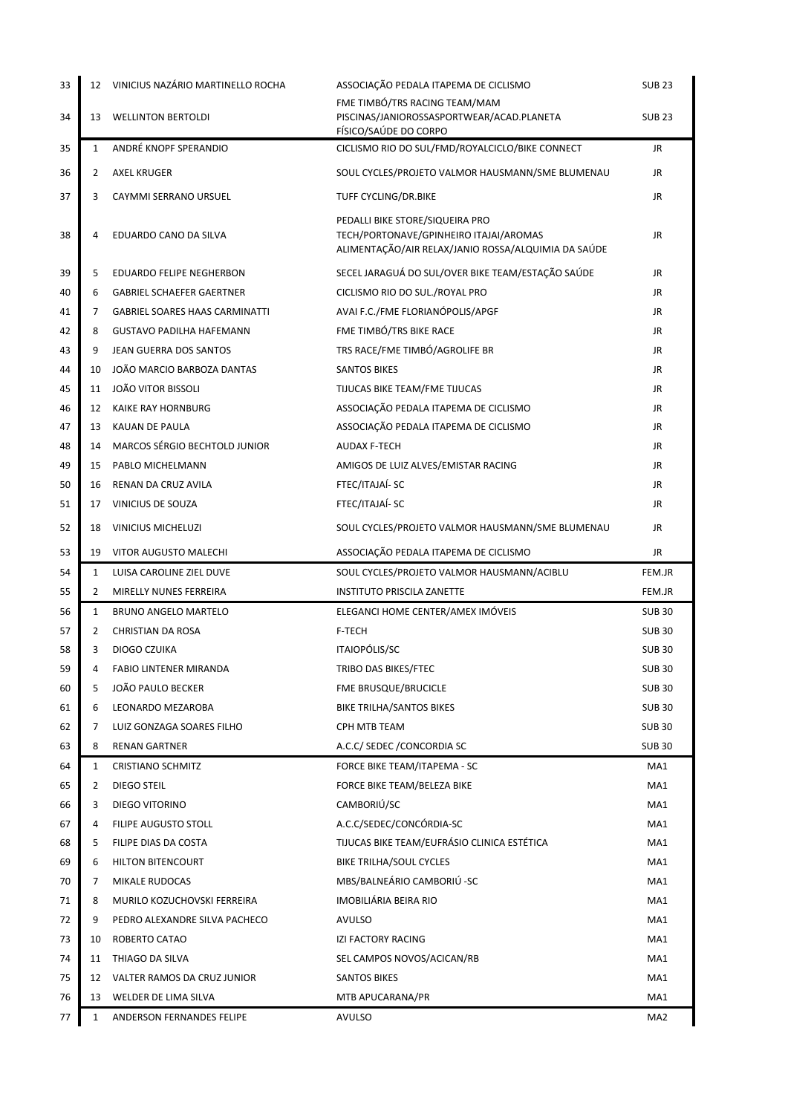| 33 | 12             | VINICIUS NAZÁRIO MARTINELLO ROCHA     | ASSOCIAÇÃO PEDALA ITAPEMA DE CICLISMO                                                               | <b>SUB 23</b>   |
|----|----------------|---------------------------------------|-----------------------------------------------------------------------------------------------------|-----------------|
| 34 | 13             | <b>WELLINTON BERTOLDI</b>             | FME TIMBÓ/TRS RACING TEAM/MAM<br>PISCINAS/JANIOROSSASPORTWEAR/ACAD.PLANETA<br>FÍSICO/SAÚDE DO CORPO | <b>SUB 23</b>   |
| 35 | $\mathbf{1}$   | ANDRÉ KNOPF SPERANDIO                 | CICLISMO RIO DO SUL/FMD/ROYALCICLO/BIKE CONNECT                                                     | JR              |
| 36 | 2              | <b>AXEL KRUGER</b>                    | SOUL CYCLES/PROJETO VALMOR HAUSMANN/SME BLUMENAU                                                    | JR              |
| 37 | 3              | CAYMMI SERRANO URSUEL                 | TUFF CYCLING/DR.BIKE                                                                                | JR              |
|    |                |                                       | PEDALLI BIKE STORE/SIQUEIRA PRO                                                                     |                 |
| 38 | 4              | EDUARDO CANO DA SILVA                 | TECH/PORTONAVE/GPINHEIRO ITAJAI/AROMAS<br>ALIMENTAÇÃO/AIR RELAX/JANIO ROSSA/ALQUIMIA DA SAÚDE       | JR              |
| 39 | 5              | EDUARDO FELIPE NEGHERBON              | SECEL JARAGUÁ DO SUL/OVER BIKE TEAM/ESTAÇÃO SAÚDE                                                   | JR              |
| 40 | 6              | <b>GABRIEL SCHAEFER GAERTNER</b>      | CICLISMO RIO DO SUL./ROYAL PRO                                                                      | JR              |
| 41 | 7              | <b>GABRIEL SOARES HAAS CARMINATTI</b> | AVAI F.C./FME FLORIANÓPOLIS/APGF                                                                    | JR              |
| 42 | 8              | <b>GUSTAVO PADILHA HAFEMANN</b>       | FME TIMBÓ/TRS BIKE RACE                                                                             | JR              |
| 43 | 9              | JEAN GUERRA DOS SANTOS                | TRS RACE/FME TIMBÓ/AGROLIFE BR                                                                      | JR              |
| 44 | 10             | JOÃO MARCIO BARBOZA DANTAS            | <b>SANTOS BIKES</b>                                                                                 | JR.             |
| 45 | 11             | <b>JOÃO VITOR BISSOLI</b>             | TIJUCAS BIKE TEAM/FME TIJUCAS                                                                       | JR              |
| 46 | 12             | KAIKE RAY HORNBURG                    | ASSOCIAÇÃO PEDALA ITAPEMA DE CICLISMO                                                               | JR              |
| 47 | 13             | KAUAN DE PAULA                        | ASSOCIAÇÃO PEDALA ITAPEMA DE CICLISMO                                                               | JR              |
| 48 | 14             | <b>MARCOS SÉRGIO BECHTOLD JUNIOR</b>  | <b>AUDAX F-TECH</b>                                                                                 | JR              |
| 49 | 15             | PABLO MICHELMANN                      | AMIGOS DE LUIZ ALVES/EMISTAR RACING                                                                 | JR              |
| 50 | 16             | RENAN DA CRUZ AVILA                   | FTEC/ITAJAÍ-SC                                                                                      | JR              |
| 51 | 17             | VINICIUS DE SOUZA                     | FTEC/ITAJAÍ-SC                                                                                      | JR              |
| 52 | 18             | <b>VINICIUS MICHELUZI</b>             | SOUL CYCLES/PROJETO VALMOR HAUSMANN/SME BLUMENAU                                                    | JR.             |
| 53 | 19             | VITOR AUGUSTO MALECHI                 | ASSOCIAÇÃO PEDALA ITAPEMA DE CICLISMO                                                               | JR              |
| 54 | 1              | LUISA CAROLINE ZIEL DUVE              | SOUL CYCLES/PROJETO VALMOR HAUSMANN/ACIBLU                                                          | FEM.JR          |
| 55 | $\overline{2}$ | MIRELLY NUNES FERREIRA                | <b>INSTITUTO PRISCILA ZANETTE</b>                                                                   | FEM.JR          |
| 56 | $\mathbf{1}$   | <b>BRUNO ANGELO MARTELO</b>           | ELEGANCI HOME CENTER/AMEX IMÓVEIS                                                                   | <b>SUB 30</b>   |
| 57 | 2              | <b>CHRISTIAN DA ROSA</b>              | F-TECH                                                                                              | <b>SUB30</b>    |
| 58 | 3              | <b>DIOGO CZUIKA</b>                   | ITAIOPÓLIS/SC                                                                                       | <b>SUB30</b>    |
| 59 | 4              | <b>FABIO LINTENER MIRANDA</b>         | TRIBO DAS BIKES/FTEC                                                                                | <b>SUB 30</b>   |
| 60 | 5              | JOÃO PAULO BECKER                     | FME BRUSQUE/BRUCICLE                                                                                | <b>SUB 30</b>   |
| 61 | 6              | LEONARDO MEZAROBA                     | BIKE TRILHA/SANTOS BIKES                                                                            | <b>SUB 30</b>   |
| 62 | 7              | LUIZ GONZAGA SOARES FILHO             | CPH MTB TEAM                                                                                        | <b>SUB 30</b>   |
| 63 | 8              | <b>RENAN GARTNER</b>                  | A.C.C/ SEDEC / CONCORDIA SC                                                                         | <b>SUB 30</b>   |
| 64 | 1              | <b>CRISTIANO SCHMITZ</b>              | FORCE BIKE TEAM/ITAPEMA - SC                                                                        | MA1             |
| 65 | 2              | DIEGO STEIL                           | FORCE BIKE TEAM/BELEZA BIKE                                                                         | MA1             |
| 66 | 3              | DIEGO VITORINO                        | CAMBORIÚ/SC                                                                                         | MA1             |
| 67 | 4              | FILIPE AUGUSTO STOLL                  | A.C.C/SEDEC/CONCÓRDIA-SC                                                                            | MA1             |
| 68 | 5              | FILIPE DIAS DA COSTA                  | TIJUCAS BIKE TEAM/EUFRÁSIO CLINICA ESTÉTICA                                                         | MA1             |
| 69 | 6              | HILTON BITENCOURT                     | BIKE TRILHA/SOUL CYCLES                                                                             | MA1             |
| 70 | 7              | MIKALE RUDOCAS                        | MBS/BALNEÁRIO CAMBORIÚ -SC                                                                          | MA1             |
| 71 | 8              | MURILO KOZUCHOVSKI FERREIRA           | IMOBILIÁRIA BEIRA RIO                                                                               | MA1             |
| 72 | 9              | PEDRO ALEXANDRE SILVA PACHECO         | AVULSO                                                                                              | MA1             |
| 73 | 10             | ROBERTO CATAO                         | IZI FACTORY RACING                                                                                  | MA1             |
| 74 | 11             | THIAGO DA SILVA                       | SEL CAMPOS NOVOS/ACICAN/RB                                                                          | MA1             |
| 75 | 12             | VALTER RAMOS DA CRUZ JUNIOR           | SANTOS BIKES                                                                                        | MA1             |
| 76 | 13             | WELDER DE LIMA SILVA                  | MTB APUCARANA/PR                                                                                    | MA1             |
| 77 | $\mathbf{1}$   | ANDERSON FERNANDES FELIPE             | <b>AVULSO</b>                                                                                       | MA <sub>2</sub> |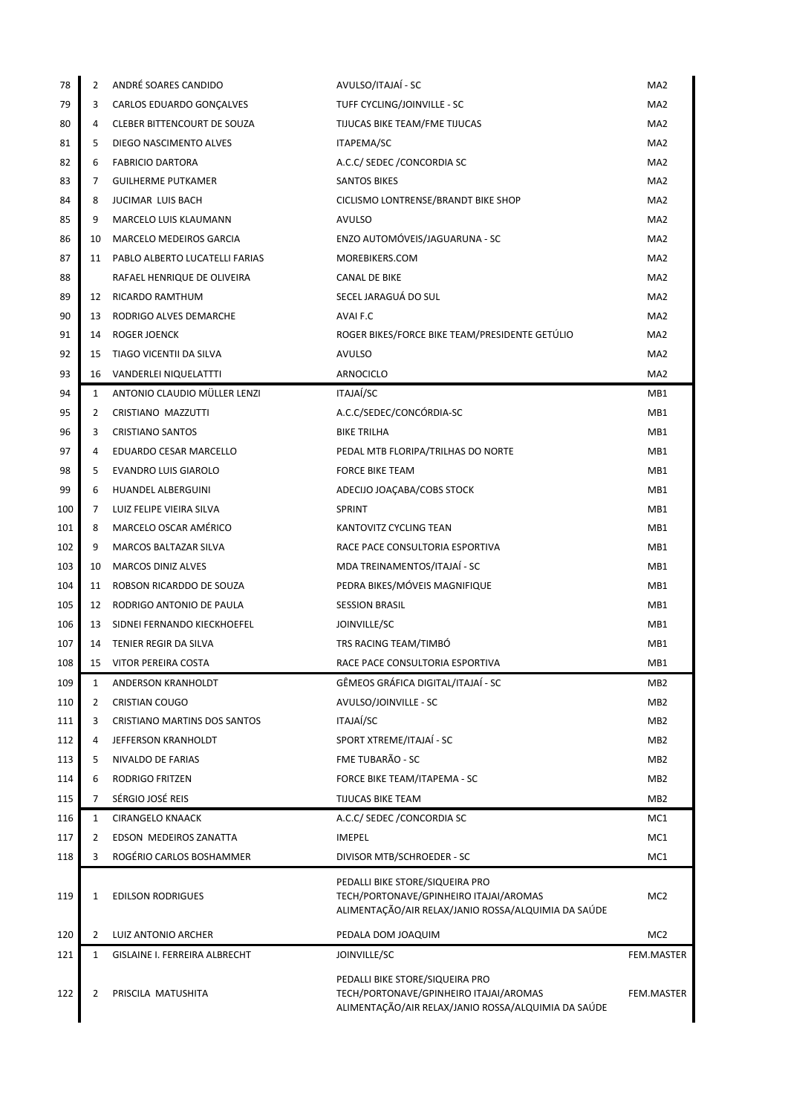| 78         | 2              | ANDRÉ SOARES CANDIDO           | AVULSO/ITAJAÍ - SC                                                                                                               | MA <sub>2</sub> |
|------------|----------------|--------------------------------|----------------------------------------------------------------------------------------------------------------------------------|-----------------|
| 79         | 3              | CARLOS EDUARDO GONCALVES       | TUFF CYCLING/JOINVILLE - SC                                                                                                      | MA <sub>2</sub> |
| 80         | 4              | CLEBER BITTENCOURT DE SOUZA    | TIJUCAS BIKE TEAM/FME TIJUCAS                                                                                                    | MA <sub>2</sub> |
| 81         | 5              | DIEGO NASCIMENTO ALVES         | ITAPEMA/SC                                                                                                                       | MA <sub>2</sub> |
| 82         | 6              | <b>FABRICIO DARTORA</b>        | A.C.C/ SEDEC / CONCORDIA SC                                                                                                      | MA <sub>2</sub> |
| 83         | 7              | <b>GUILHERME PUTKAMER</b>      | <b>SANTOS BIKES</b>                                                                                                              | MA <sub>2</sub> |
| 84         | 8              | <b>JUCIMAR LUIS BACH</b>       | CICLISMO LONTRENSE/BRANDT BIKE SHOP                                                                                              | MA <sub>2</sub> |
| 85         | 9              | <b>MARCELO LUIS KLAUMANN</b>   | AVULSO                                                                                                                           | MA <sub>2</sub> |
| 86         | 10             | MARCELO MEDEIROS GARCIA        | ENZO AUTOMÓVEIS/JAGUARUNA - SC                                                                                                   | MA <sub>2</sub> |
| 87         | 11             | PABLO ALBERTO LUCATELLI FARIAS | MOREBIKERS.COM                                                                                                                   | MA <sub>2</sub> |
| 88         |                | RAFAEL HENRIQUE DE OLIVEIRA    | CANAL DE BIKE                                                                                                                    | MA <sub>2</sub> |
| 89         | 12             | RICARDO RAMTHUM                | SECEL JARAGUÁ DO SUL                                                                                                             | MA <sub>2</sub> |
| 90         | 13             | RODRIGO ALVES DEMARCHE         | AVAI F.C                                                                                                                         | MA <sub>2</sub> |
| 91         | 14             | ROGER JOENCK                   | ROGER BIKES/FORCE BIKE TEAM/PRESIDENTE GETÚLIO                                                                                   | MA <sub>2</sub> |
| 92         | 15             | TIAGO VICENTII DA SILVA        | AVULSO                                                                                                                           | MA <sub>2</sub> |
| 93         |                | 16 VANDERLEI NIQUELATTTI       | ARNOCICLO                                                                                                                        | MA <sub>2</sub> |
| 94         | $\mathbf{1}$   | ANTONIO CLAUDIO MÜLLER LENZI   | ITAJAÍ/SC                                                                                                                        | MB1             |
| 95         | 2              | CRISTIANO MAZZUTTI             | A.C.C/SEDEC/CONCÓRDIA-SC                                                                                                         | MB1             |
| 96         | 3              | <b>CRISTIANO SANTOS</b>        | <b>BIKE TRILHA</b>                                                                                                               | MB1             |
| 97         | 4              | EDUARDO CESAR MARCELLO         | PEDAL MTB FLORIPA/TRILHAS DO NORTE                                                                                               | MB1             |
| 98         | 5              | <b>EVANDRO LUIS GIAROLO</b>    | <b>FORCE BIKE TEAM</b>                                                                                                           | MB1             |
| 99         | 6              | HUANDEL ALBERGUINI             | ADECIJO JOAÇABA/COBS STOCK                                                                                                       | MB1             |
| 100        | 7              | LUIZ FELIPE VIEIRA SILVA       | <b>SPRINT</b>                                                                                                                    | MB1             |
| 101        | 8              | MARCELO OSCAR AMÉRICO          | KANTOVITZ CYCLING TEAN                                                                                                           | MB <sub>1</sub> |
| 102        | 9              | <b>MARCOS BALTAZAR SILVA</b>   | RACE PACE CONSULTORIA ESPORTIVA                                                                                                  | MB1             |
| 103        | 10             | <b>MARCOS DINIZ ALVES</b>      | MDA TREINAMENTOS/ITAJAÍ - SC                                                                                                     | MB1             |
| 104        | 11             | ROBSON RICARDDO DE SOUZA       | PEDRA BIKES/MÓVEIS MAGNIFIQUE                                                                                                    | MB1             |
| 105        | 12             | RODRIGO ANTONIO DE PAULA       | <b>SESSION BRASIL</b>                                                                                                            | MB1             |
| 106        | 13             | SIDNEI FERNANDO KIECKHOEFEL    | JOINVILLE/SC                                                                                                                     | MB1             |
| 107        | 14             | TENIER REGIR DA SILVA          | TRS RACING TEAM/TIMBO                                                                                                            | MB1             |
| 108        | 15             | VITOR PEREIRA COSTA            | RACE PACE CONSULTORIA ESPORTIVA                                                                                                  | MB1             |
| 109        | $\mathbf{1}$   | ANDERSON KRANHOLDT             | GÊMEOS GRÁFICA DIGITAL/ITAJAÍ - SC                                                                                               | MB <sub>2</sub> |
| 110        | 2              | <b>CRISTIAN COUGO</b>          | AVULSO/JOINVILLE - SC                                                                                                            | MB <sub>2</sub> |
| 111        | 3              | CRISTIANO MARTINS DOS SANTOS   | ITAJAÍ/SC                                                                                                                        | MB <sub>2</sub> |
| 112        | 4              | JEFFERSON KRANHOLDT            | SPORT XTREME/ITAJAÍ - SC                                                                                                         | MB <sub>2</sub> |
| 113        | 5              | NIVALDO DE FARIAS              | FME TUBARÃO - SC                                                                                                                 | MB <sub>2</sub> |
| 114        | 6              | <b>RODRIGO FRITZEN</b>         | FORCE BIKE TEAM/ITAPEMA - SC                                                                                                     | MB <sub>2</sub> |
| 115        | $\overline{7}$ | SÉRGIO JOSÉ REIS               | TIJUCAS BIKE TEAM                                                                                                                | MB <sub>2</sub> |
| 116        | $\mathbf{1}$   | <b>CIRANGELO KNAACK</b>        | A.C.C/ SEDEC / CONCORDIA SC                                                                                                      | MC1             |
| 117<br>118 | 2<br>3         | EDSON MEDEIROS ZANATTA         | <b>IMEPEL</b>                                                                                                                    | MC1             |
|            |                | ROGÉRIO CARLOS BOSHAMMER       | DIVISOR MTB/SCHROEDER - SC                                                                                                       | MC1             |
| 119        | 1              | <b>EDILSON RODRIGUES</b>       | PEDALLI BIKE STORE/SIQUEIRA PRO<br>TECH/PORTONAVE/GPINHEIRO ITAJAI/AROMAS<br>ALIMENTAÇÃO/AIR RELAX/JANIO ROSSA/ALQUIMIA DA SAÚDE | MC <sub>2</sub> |
| 120        | 2              | LUIZ ANTONIO ARCHER            | PEDALA DOM JOAQUIM                                                                                                               | MC <sub>2</sub> |
| 121        | $\mathbf{1}$   | GISLAINE I. FERREIRA ALBRECHT  | JOINVILLE/SC                                                                                                                     | FEM.MASTER      |
| 122        | 2              | PRISCILA MATUSHITA             | PEDALLI BIKE STORE/SIQUEIRA PRO<br>TECH/PORTONAVE/GPINHEIRO ITAJAI/AROMAS<br>ALIMENTAÇÃO/AIR RELAX/JANIO ROSSA/ALQUIMIA DA SAÚDE | FEM.MASTER      |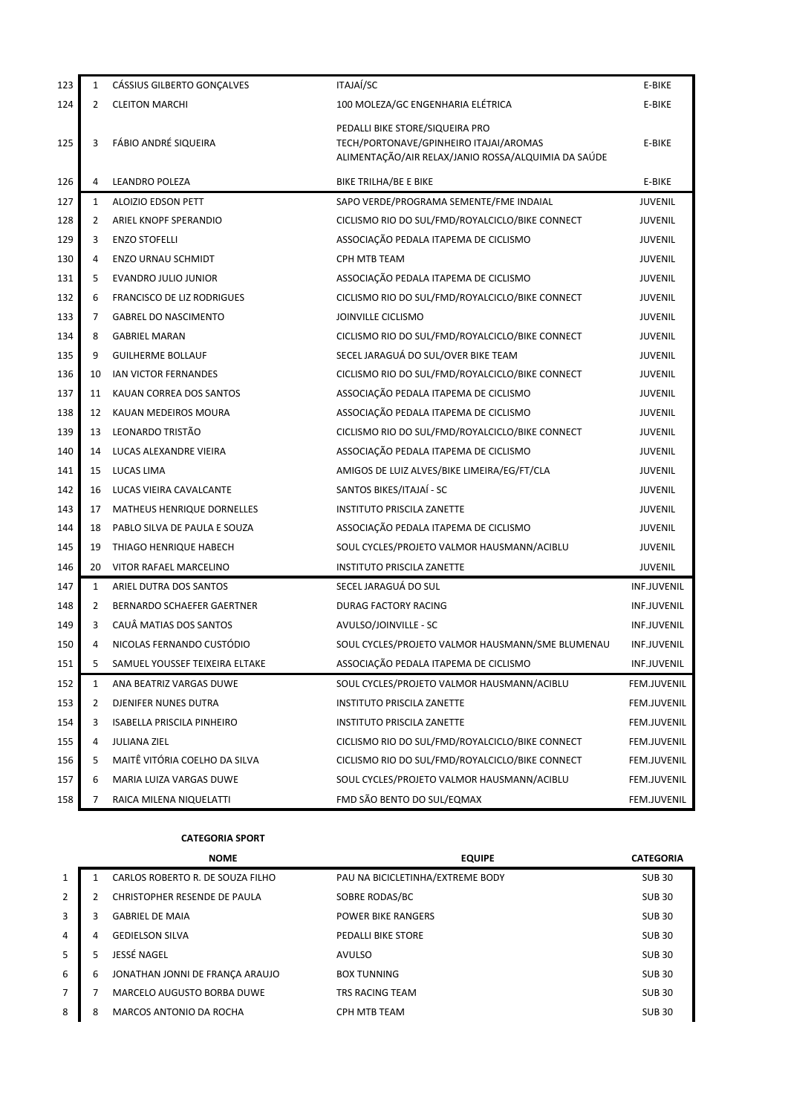| 123 | $\mathbf{1}$ | CÁSSIUS GILBERTO GONÇALVES     | ITAJAÍ/SC                                                                                                                        | E-BIKE             |
|-----|--------------|--------------------------------|----------------------------------------------------------------------------------------------------------------------------------|--------------------|
| 124 | 2            | <b>CLEITON MARCHI</b>          | 100 MOLEZA/GC ENGENHARIA ELÉTRICA                                                                                                | E-BIKE             |
| 125 | 3            | FÁBIO ANDRÉ SIQUEIRA           | PEDALLI BIKE STORE/SIQUEIRA PRO<br>TECH/PORTONAVE/GPINHEIRO ITAJAI/AROMAS<br>ALIMENTAÇÃO/AIR RELAX/JANIO ROSSA/ALQUIMIA DA SAÚDE | E-BIKE             |
| 126 | 4            | LEANDRO POLEZA                 | BIKE TRILHA/BE E BIKE                                                                                                            | E-BIKE             |
| 127 | 1            | <b>ALOIZIO EDSON PETT</b>      | SAPO VERDE/PROGRAMA SEMENTE/FME INDAIAL                                                                                          | <b>JUVENIL</b>     |
| 128 | 2            | ARIEL KNOPF SPERANDIO          | CICLISMO RIO DO SUL/FMD/ROYALCICLO/BIKE CONNECT                                                                                  | <b>JUVENIL</b>     |
| 129 | 3            | <b>ENZO STOFELLI</b>           | ASSOCIAÇÃO PEDALA ITAPEMA DE CICLISMO                                                                                            | <b>JUVENIL</b>     |
| 130 | 4            | <b>ENZO URNAU SCHMIDT</b>      | CPH MTB TEAM                                                                                                                     | <b>JUVENIL</b>     |
| 131 | 5            | EVANDRO JULIO JUNIOR           | ASSOCIAÇÃO PEDALA ITAPEMA DE CICLISMO                                                                                            | <b>JUVENIL</b>     |
| 132 | 6            | FRANCISCO DE LIZ RODRIGUES     | CICLISMO RIO DO SUL/FMD/ROYALCICLO/BIKE CONNECT                                                                                  | JUVENIL            |
| 133 | 7            | <b>GABREL DO NASCIMENTO</b>    | JOINVILLE CICLISMO                                                                                                               | <b>JUVENIL</b>     |
| 134 | 8            | <b>GABRIEL MARAN</b>           | CICLISMO RIO DO SUL/FMD/ROYALCICLO/BIKE CONNECT                                                                                  | <b>JUVENIL</b>     |
| 135 | 9            | <b>GUILHERME BOLLAUF</b>       | SECEL JARAGUÁ DO SUL/OVER BIKE TEAM                                                                                              | <b>JUVENIL</b>     |
| 136 | 10           | IAN VICTOR FERNANDES           | CICLISMO RIO DO SUL/FMD/ROYALCICLO/BIKE CONNECT                                                                                  | <b>JUVENIL</b>     |
| 137 | 11           | KAUAN CORREA DOS SANTOS        | ASSOCIAÇÃO PEDALA ITAPEMA DE CICLISMO                                                                                            | <b>JUVENIL</b>     |
| 138 | 12           | KAUAN MEDEIROS MOURA           | ASSOCIAÇÃO PEDALA ITAPEMA DE CICLISMO                                                                                            | <b>JUVENIL</b>     |
| 139 | 13           | LEONARDO TRISTÃO               | CICLISMO RIO DO SUL/FMD/ROYALCICLO/BIKE CONNECT                                                                                  | <b>JUVENIL</b>     |
| 140 | 14           | LUCAS ALEXANDRE VIEIRA         | ASSOCIAÇÃO PEDALA ITAPEMA DE CICLISMO                                                                                            | <b>JUVENIL</b>     |
| 141 | 15           | LUCAS LIMA                     | AMIGOS DE LUIZ ALVES/BIKE LIMEIRA/EG/FT/CLA                                                                                      | <b>JUVENIL</b>     |
| 142 | 16           | LUCAS VIEIRA CAVALCANTE        | SANTOS BIKES/ITAJAÍ - SC                                                                                                         | <b>JUVENIL</b>     |
| 143 | 17           | MATHEUS HENRIQUE DORNELLES     | <b>INSTITUTO PRISCILA ZANETTE</b>                                                                                                | <b>JUVENIL</b>     |
| 144 | 18           | PABLO SILVA DE PAULA E SOUZA   | ASSOCIAÇÃO PEDALA ITAPEMA DE CICLISMO                                                                                            | <b>JUVENIL</b>     |
| 145 | 19           | THIAGO HENRIQUE HABECH         | SOUL CYCLES/PROJETO VALMOR HAUSMANN/ACIBLU                                                                                       | <b>JUVENIL</b>     |
| 146 | 20           | VITOR RAFAEL MARCELINO         | <b>INSTITUTO PRISCILA ZANETTE</b>                                                                                                | JUVENIL            |
| 147 | $\mathbf{1}$ | ARIEL DUTRA DOS SANTOS         | SECEL JARAGUÁ DO SUL                                                                                                             | INF.JUVENIL        |
| 148 | 2            | BERNARDO SCHAEFER GAERTNER     | DURAG FACTORY RACING                                                                                                             | <b>INF.JUVENIL</b> |
| 149 | 3            | CAUÂ MATIAS DOS SANTOS         | AVULSO/JOINVILLE - SC                                                                                                            | INF.JUVENIL        |
| 150 | 4            | NICOLAS FERNANDO CUSTÓDIO      | SOUL CYCLES/PROJETO VALMOR HAUSMANN/SME BLUMENAU                                                                                 | INF.JUVENIL        |
| 151 | 5            | SAMUEL YOUSSEF TEIXEIRA ELTAKE | ASSOCIAÇÃO PEDALA ITAPEMA DE CICLISMO                                                                                            | <b>INF.JUVENIL</b> |
| 152 | 1            | ANA BEATRIZ VARGAS DUWE        | SOUL CYCLES/PROJETO VALMOR HAUSMANN/ACIBLU                                                                                       | FEM.JUVENIL        |
| 153 | 2            | DJENIFER NUNES DUTRA           | <b>INSTITUTO PRISCILA ZANETTE</b>                                                                                                | FEM.JUVENIL        |
| 154 | 3            | ISABELLA PRISCILA PINHEIRO     | <b>INSTITUTO PRISCILA ZANETTE</b>                                                                                                | FEM.JUVENIL        |
| 155 | 4            | <b>JULIANA ZIEL</b>            | CICLISMO RIO DO SUL/FMD/ROYALCICLO/BIKE CONNECT                                                                                  | FEM.JUVENIL        |
| 156 | 5            | MAITÊ VITÓRIA COELHO DA SILVA  | CICLISMO RIO DO SUL/FMD/ROYALCICLO/BIKE CONNECT                                                                                  | FEM.JUVENIL        |
| 157 | 6            | MARIA LUIZA VARGAS DUWE        | SOUL CYCLES/PROJETO VALMOR HAUSMANN/ACIBLU                                                                                       | FEM.JUVENIL        |
| 158 | 7            | RAICA MILENA NIQUELATTI        | FMD SÃO BENTO DO SUL/EQMAX                                                                                                       | FEM.JUVENIL        |

**CATEGORIA SPORT**

|              |   | <b>NOME</b>                      | <b>EQUIPE</b>                    | <b>CATEGORIA</b> |
|--------------|---|----------------------------------|----------------------------------|------------------|
| $\mathbf{1}$ |   | CARLOS ROBERTO R. DE SOUZA FILHO | PAU NA BICICLETINHA/EXTREME BODY | <b>SUB30</b>     |
| 2            |   | CHRISTOPHER RESENDE DE PAULA     | SOBRE RODAS/BC                   | <b>SUB30</b>     |
| 3            | 3 | <b>GABRIEL DE MAIA</b>           | <b>POWER BIKE RANGERS</b>        | <b>SUB30</b>     |
| 4            | 4 | <b>GEDIELSON SILVA</b>           | PEDALLI BIKE STORE               | <b>SUB30</b>     |
| 5            | 5 | JESSÉ NAGEL                      | AVULSO                           | <b>SUB30</b>     |
| 6            | 6 | JONATHAN JONNI DE FRANÇA ARAUJO  | <b>BOX TUNNING</b>               | <b>SUB30</b>     |
| 7            |   | MARCELO AUGUSTO BORBA DUWE       | <b>TRS RACING TEAM</b>           | <b>SUB30</b>     |
| 8            | 8 | MARCOS ANTONIO DA ROCHA          | CPH MTB TEAM                     | <b>SUB 30</b>    |